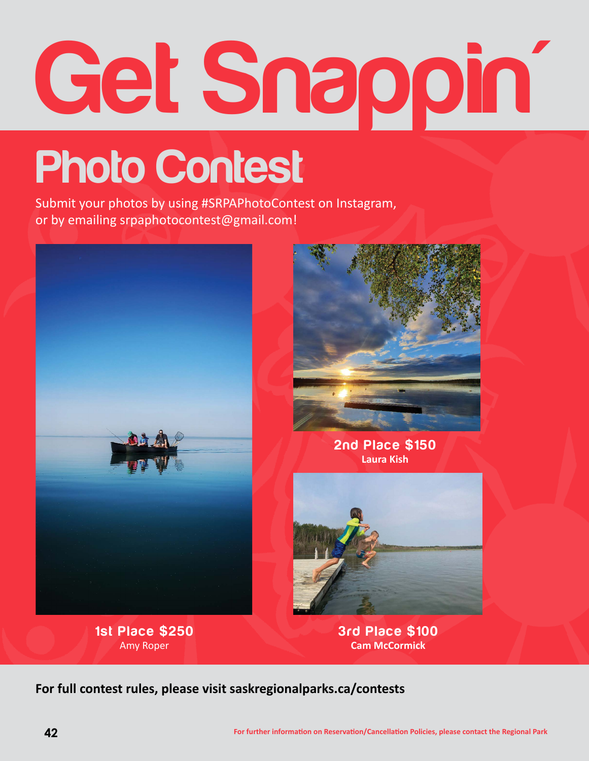## **Get Snappin'**

## **Photo Contest**

Submit your photos by using #SRPAPhotoContest on Instagram, or by emailing srpaphotocontest@gmail.com!



**1st Place \$250** Amy Roper



**2nd Place \$150 Laura Kish**



**3rd Place \$100 Cam McCormick**

**For full contest rules, please visit saskregionalparks.ca/contests**